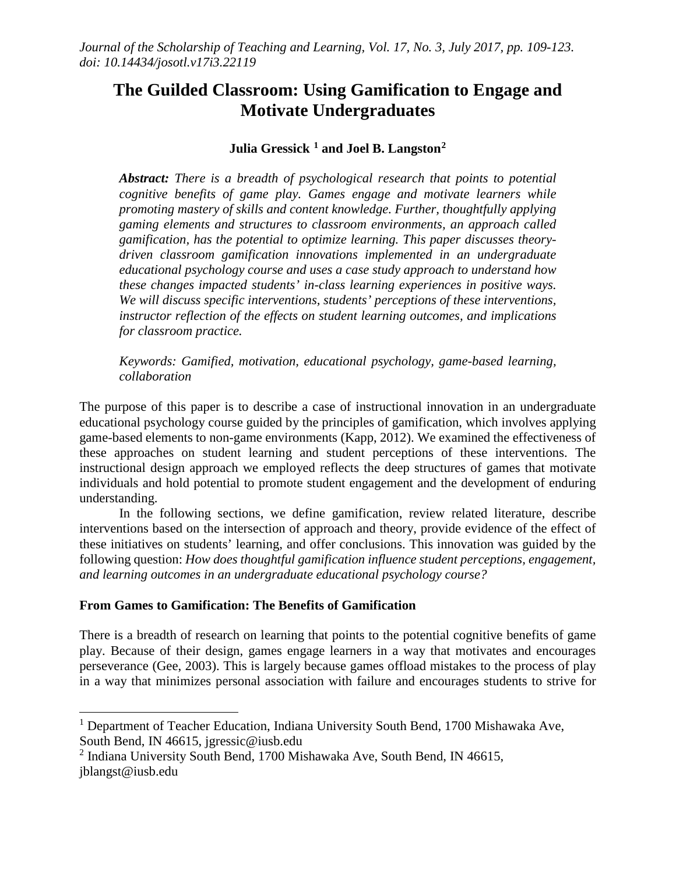# **The Guilded Classroom: Using Gamification to Engage and Motivate Undergraduates**

## **Julia Gressick [1](#page-0-0) and Joel B. Langston[2](#page-0-1)**

*Abstract: There is a breadth of psychological research that points to potential cognitive benefits of game play. Games engage and motivate learners while promoting mastery of skills and content knowledge. Further, thoughtfully applying gaming elements and structures to classroom environments, an approach called gamification, has the potential to optimize learning. This paper discusses theorydriven classroom gamification innovations implemented in an undergraduate educational psychology course and uses a case study approach to understand how these changes impacted students' in-class learning experiences in positive ways. We will discuss specific interventions, students' perceptions of these interventions, instructor reflection of the effects on student learning outcomes, and implications for classroom practice.* 

*Keywords: Gamified, motivation, educational psychology, game-based learning, collaboration*

The purpose of this paper is to describe a case of instructional innovation in an undergraduate educational psychology course guided by the principles of gamification, which involves applying game-based elements to non-game environments (Kapp, 2012). We examined the effectiveness of these approaches on student learning and student perceptions of these interventions. The instructional design approach we employed reflects the deep structures of games that motivate individuals and hold potential to promote student engagement and the development of enduring understanding.

In the following sections, we define gamification, review related literature, describe interventions based on the intersection of approach and theory, provide evidence of the effect of these initiatives on students' learning, and offer conclusions. This innovation was guided by the following question: *How does thoughtful gamification influence student perceptions, engagement, and learning outcomes in an undergraduate educational psychology course?* 

### **From Games to Gamification: The Benefits of Gamification**

There is a breadth of research on learning that points to the potential cognitive benefits of game play. Because of their design, games engage learners in a way that motivates and encourages perseverance (Gee, 2003). This is largely because games offload mistakes to the process of play in a way that minimizes personal association with failure and encourages students to strive for

<span id="page-0-0"></span><sup>&</sup>lt;sup>1</sup> Department of Teacher Education, Indiana University South Bend, 1700 Mishawaka Ave, South Bend, IN 46615, jgressic@iusb.edu

<span id="page-0-1"></span><sup>2</sup> Indiana University South Bend, 1700 Mishawaka Ave, South Bend, IN 46615, jblangst@iusb.edu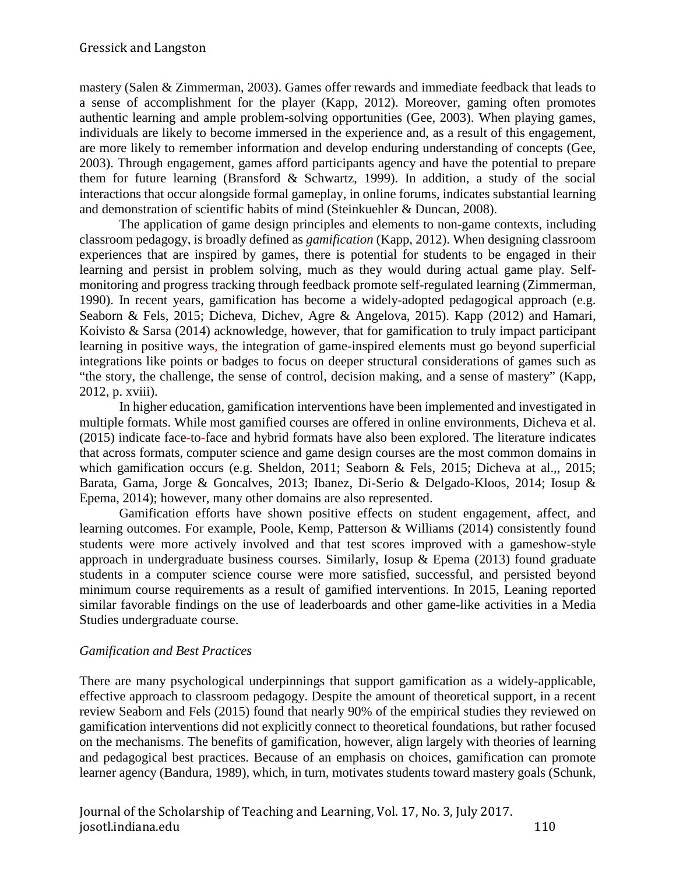mastery (Salen & Zimmerman, 2003). Games offer rewards and immediate feedback that leads to a sense of accomplishment for the player (Kapp, 2012). Moreover, gaming often promotes authentic learning and ample problem-solving opportunities (Gee, 2003). When playing games, individuals are likely to become immersed in the experience and, as a result of this engagement, are more likely to remember information and develop enduring understanding of concepts (Gee, 2003). Through engagement, games afford participants agency and have the potential to prepare them for future learning (Bransford & Schwartz, 1999). In addition, a study of the social interactions that occur alongside formal gameplay, in online forums, indicates substantial learning and demonstration of scientific habits of mind (Steinkuehler & Duncan, 2008).

The application of game design principles and elements to non-game contexts, including classroom pedagogy, is broadly defined as *gamification* (Kapp, 2012). When designing classroom experiences that are inspired by games, there is potential for students to be engaged in their learning and persist in problem solving, much as they would during actual game play. Selfmonitoring and progress tracking through feedback promote self-regulated learning (Zimmerman, 1990). In recent years, gamification has become a widely-adopted pedagogical approach (e.g. Seaborn & Fels, 2015; Dicheva, Dichev, Agre & Angelova, 2015). Kapp (2012) and Hamari, Koivisto & Sarsa (2014) acknowledge, however, that for gamification to truly impact participant learning in positive ways, the integration of game-inspired elements must go beyond superficial integrations like points or badges to focus on deeper structural considerations of games such as "the story, the challenge, the sense of control, decision making, and a sense of mastery" (Kapp, 2012, p. xviii).

In higher education, gamification interventions have been implemented and investigated in multiple formats. While most gamified courses are offered in online environments, Dicheva et al. (2015) indicate face-to-face and hybrid formats have also been explored. The literature indicates that across formats, computer science and game design courses are the most common domains in which gamification occurs (e.g. Sheldon, 2011; Seaborn & Fels, 2015; Dicheva at al.,, 2015; Barata, Gama, Jorge & Goncalves, 2013; Ibanez, Di-Serio & Delgado-Kloos, 2014; Iosup & Epema, 2014); however, many other domains are also represented.

Gamification efforts have shown positive effects on student engagement, affect, and learning outcomes. For example, Poole, Kemp, Patterson & Williams (2014) consistently found students were more actively involved and that test scores improved with a gameshow-style approach in undergraduate business courses. Similarly, Iosup & Epema (2013) found graduate students in a computer science course were more satisfied, successful, and persisted beyond minimum course requirements as a result of gamified interventions. In 2015, Leaning reported similar favorable findings on the use of leaderboards and other game-like activities in a Media Studies undergraduate course.

# *Gamification and Best Practices*

There are many psychological underpinnings that support gamification as a widely-applicable, effective approach to classroom pedagogy. Despite the amount of theoretical support, in a recent review Seaborn and Fels (2015) found that nearly 90% of the empirical studies they reviewed on gamification interventions did not explicitly connect to theoretical foundations, but rather focused on the mechanisms. The benefits of gamification, however, align largely with theories of learning and pedagogical best practices. Because of an emphasis on choices, gamification can promote learner agency (Bandura, 1989), which, in turn, motivates students toward mastery goals (Schunk,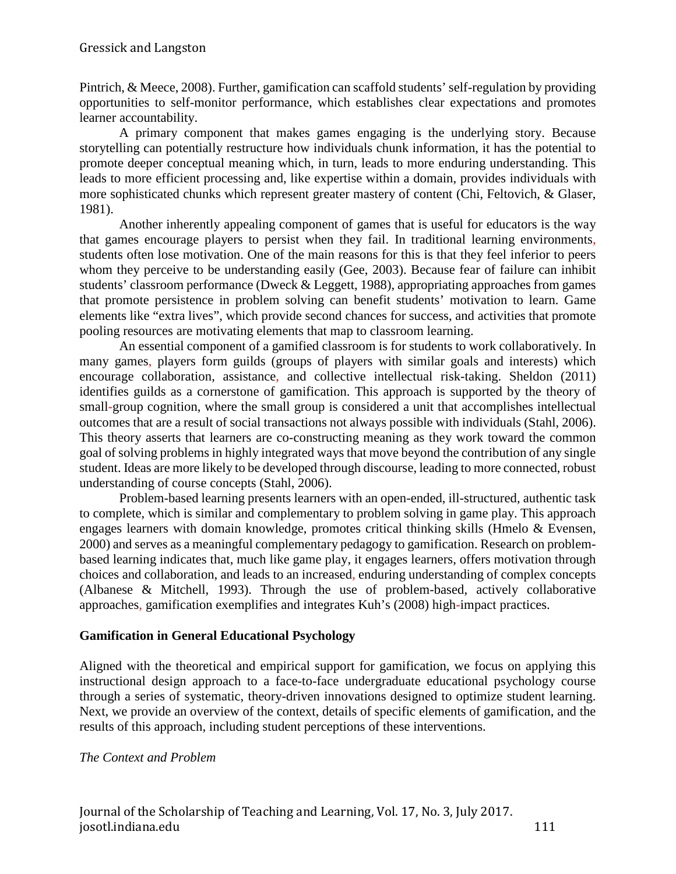Pintrich, & Meece, 2008). Further, gamification can scaffold students' self-regulation by providing opportunities to self-monitor performance, which establishes clear expectations and promotes learner accountability.

A primary component that makes games engaging is the underlying story. Because storytelling can potentially restructure how individuals chunk information, it has the potential to promote deeper conceptual meaning which, in turn, leads to more enduring understanding. This leads to more efficient processing and, like expertise within a domain, provides individuals with more sophisticated chunks which represent greater mastery of content (Chi, Feltovich, & Glaser, 1981).

Another inherently appealing component of games that is useful for educators is the way that games encourage players to persist when they fail. In traditional learning environments, students often lose motivation. One of the main reasons for this is that they feel inferior to peers whom they perceive to be understanding easily (Gee, 2003). Because fear of failure can inhibit students' classroom performance (Dweck & Leggett, 1988), appropriating approaches from games that promote persistence in problem solving can benefit students' motivation to learn. Game elements like "extra lives", which provide second chances for success, and activities that promote pooling resources are motivating elements that map to classroom learning.

An essential component of a gamified classroom is for students to work collaboratively. In many games, players form guilds (groups of players with similar goals and interests) which encourage collaboration, assistance, and collective intellectual risk-taking. Sheldon (2011) identifies guilds as a cornerstone of gamification. This approach is supported by the theory of small-group cognition, where the small group is considered a unit that accomplishes intellectual outcomes that are a result of social transactions not always possible with individuals (Stahl, 2006). This theory asserts that learners are co-constructing meaning as they work toward the common goal of solving problems in highly integrated ways that move beyond the contribution of any single student. Ideas are more likely to be developed through discourse, leading to more connected, robust understanding of course concepts (Stahl, 2006).

Problem-based learning presents learners with an open-ended, ill-structured, authentic task to complete, which is similar and complementary to problem solving in game play. This approach engages learners with domain knowledge, promotes critical thinking skills (Hmelo & Evensen, 2000) and serves as a meaningful complementary pedagogy to gamification. Research on problembased learning indicates that, much like game play, it engages learners, offers motivation through choices and collaboration, and leads to an increased, enduring understanding of complex concepts (Albanese & Mitchell, 1993). Through the use of problem-based, actively collaborative approaches, gamification exemplifies and integrates Kuh's (2008) high-impact practices.

# **Gamification in General Educational Psychology**

Aligned with the theoretical and empirical support for gamification, we focus on applying this instructional design approach to a face-to-face undergraduate educational psychology course through a series of systematic, theory-driven innovations designed to optimize student learning. Next, we provide an overview of the context, details of specific elements of gamification, and the results of this approach, including student perceptions of these interventions.

### *The Context and Problem*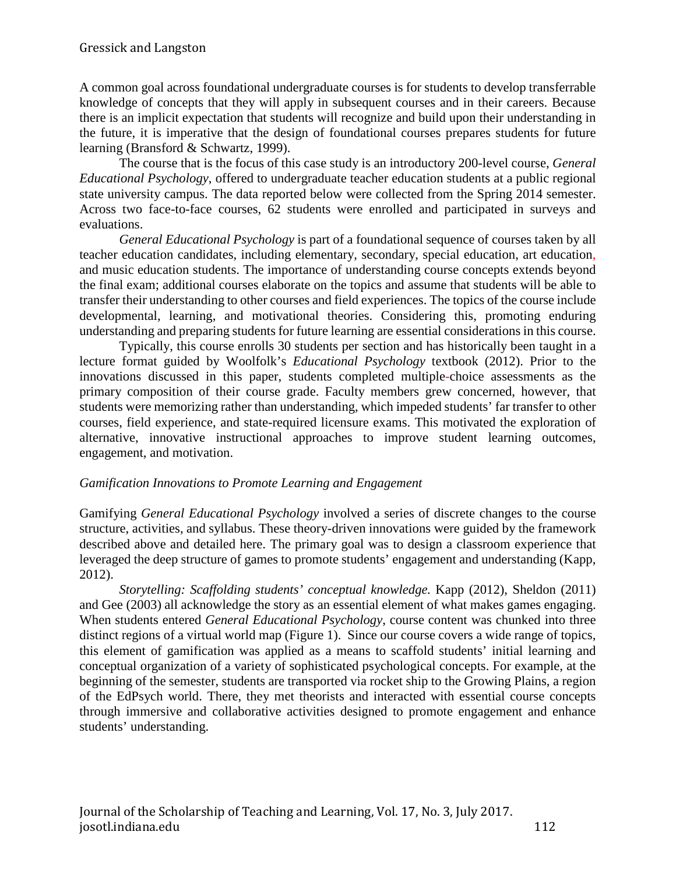A common goal across foundational undergraduate courses is for students to develop transferrable knowledge of concepts that they will apply in subsequent courses and in their careers. Because there is an implicit expectation that students will recognize and build upon their understanding in the future, it is imperative that the design of foundational courses prepares students for future learning (Bransford & Schwartz, 1999).

The course that is the focus of this case study is an introductory 200-level course, *General Educational Psychology*, offered to undergraduate teacher education students at a public regional state university campus. The data reported below were collected from the Spring 2014 semester. Across two face-to-face courses, 62 students were enrolled and participated in surveys and evaluations.

*General Educational Psychology* is part of a foundational sequence of courses taken by all teacher education candidates, including elementary, secondary, special education, art education, and music education students. The importance of understanding course concepts extends beyond the final exam; additional courses elaborate on the topics and assume that students will be able to transfer their understanding to other courses and field experiences. The topics of the course include developmental, learning, and motivational theories. Considering this, promoting enduring understanding and preparing students for future learning are essential considerations in this course.

Typically, this course enrolls 30 students per section and has historically been taught in a lecture format guided by Woolfolk's *Educational Psychology* textbook (2012). Prior to the innovations discussed in this paper, students completed multiple-choice assessments as the primary composition of their course grade. Faculty members grew concerned, however, that students were memorizing rather than understanding, which impeded students' far transfer to other courses, field experience, and state-required licensure exams. This motivated the exploration of alternative, innovative instructional approaches to improve student learning outcomes, engagement, and motivation.

### *Gamification Innovations to Promote Learning and Engagement*

Gamifying *General Educational Psychology* involved a series of discrete changes to the course structure, activities, and syllabus. These theory-driven innovations were guided by the framework described above and detailed here. The primary goal was to design a classroom experience that leveraged the deep structure of games to promote students' engagement and understanding (Kapp, 2012).

*Storytelling: Scaffolding students' conceptual knowledge. Kapp (2012), Sheldon (2011)* and Gee (2003) all acknowledge the story as an essential element of what makes games engaging. When students entered *General Educational Psychology*, course content was chunked into three distinct regions of a virtual world map (Figure 1). Since our course covers a wide range of topics, this element of gamification was applied as a means to scaffold students' initial learning and conceptual organization of a variety of sophisticated psychological concepts. For example, at the beginning of the semester, students are transported via rocket ship to the Growing Plains, a region of the EdPsych world. There, they met theorists and interacted with essential course concepts through immersive and collaborative activities designed to promote engagement and enhance students' understanding.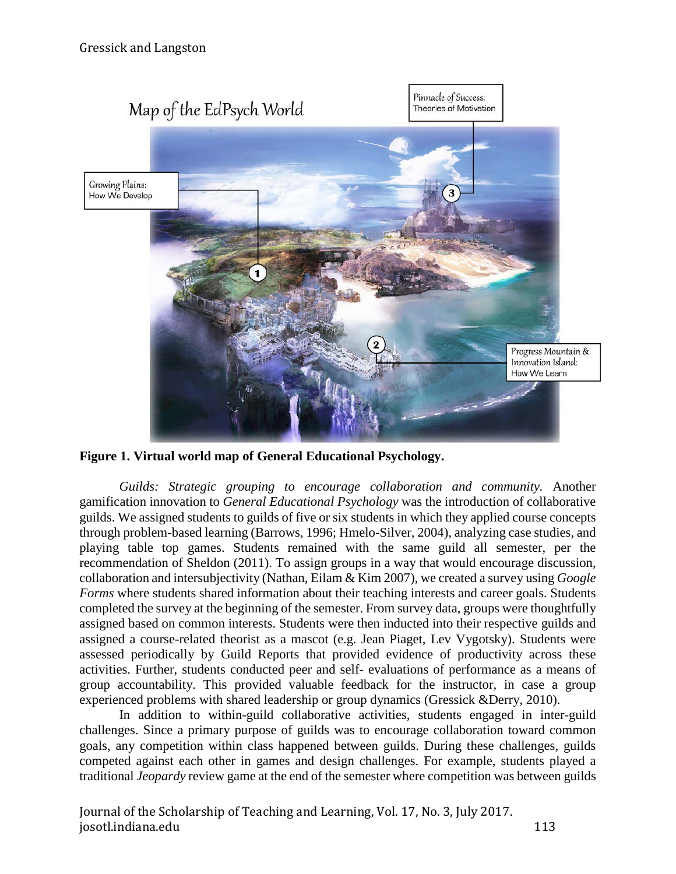

**Figure 1. Virtual world map of General Educational Psychology.**

*Guilds: Strategic grouping to encourage collaboration and community.* Another gamification innovation to *General Educational Psychology* was the introduction of collaborative guilds. We assigned students to guilds of five or six students in which they applied course concepts through problem-based learning (Barrows, 1996; Hmelo-Silver, 2004), analyzing case studies, and playing table top games. Students remained with the same guild all semester, per the recommendation of Sheldon (2011). To assign groups in a way that would encourage discussion, collaboration and intersubjectivity (Nathan, Eilam & Kim 2007), we created a survey using *Google Forms* where students shared information about their teaching interests and career goals. Students completed the survey at the beginning of the semester. From survey data, groups were thoughtfully assigned based on common interests. Students were then inducted into their respective guilds and assigned a course-related theorist as a mascot (e.g. Jean Piaget, Lev Vygotsky). Students were assessed periodically by Guild Reports that provided evidence of productivity across these activities. Further, students conducted peer and self- evaluations of performance as a means of group accountability. This provided valuable feedback for the instructor, in case a group experienced problems with shared leadership or group dynamics (Gressick &Derry, 2010).

In addition to within-guild collaborative activities, students engaged in inter-guild challenges. Since a primary purpose of guilds was to encourage collaboration toward common goals, any competition within class happened between guilds. During these challenges, guilds competed against each other in games and design challenges. For example, students played a traditional *Jeopardy* review game at the end of the semester where competition was between guilds

Journal of the Scholarship of Teaching and Learning, Vol. 17, No. 3, July 2017. josotl.indiana.edu 113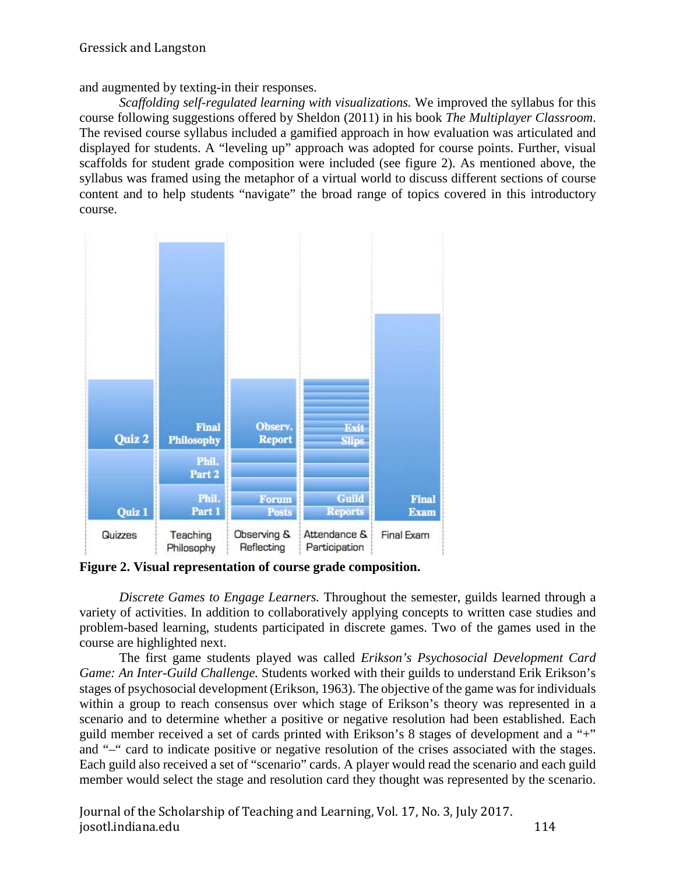and augmented by texting-in their responses.

*Scaffolding self-regulated learning with visualizations.* We improved the syllabus for this course following suggestions offered by Sheldon (2011) in his book *The Multiplayer Classroom*. The revised course syllabus included a gamified approach in how evaluation was articulated and displayed for students. A "leveling up" approach was adopted for course points. Further, visual scaffolds for student grade composition were included (see figure 2). As mentioned above, the syllabus was framed using the metaphor of a virtual world to discuss different sections of course content and to help students "navigate" the broad range of topics covered in this introductory course.



**Figure 2. Visual representation of course grade composition.**

*Discrete Games to Engage Learners.* Throughout the semester, guilds learned through a variety of activities. In addition to collaboratively applying concepts to written case studies and problem-based learning, students participated in discrete games. Two of the games used in the course are highlighted next.

The first game students played was called *Erikson's Psychosocial Development Card Game: An Inter-Guild Challenge.* Students worked with their guilds to understand Erik Erikson's stages of psychosocial development (Erikson, 1963). The objective of the game was for individuals within a group to reach consensus over which stage of Erikson's theory was represented in a scenario and to determine whether a positive or negative resolution had been established. Each guild member received a set of cards printed with Erikson's 8 stages of development and a "+" and "–" card to indicate positive or negative resolution of the crises associated with the stages. Each guild also received a set of "scenario" cards. A player would read the scenario and each guild member would select the stage and resolution card they thought was represented by the scenario.

Journal of the Scholarship of Teaching and Learning, Vol. 17, No. 3, July 2017. josotl.indiana.edu 114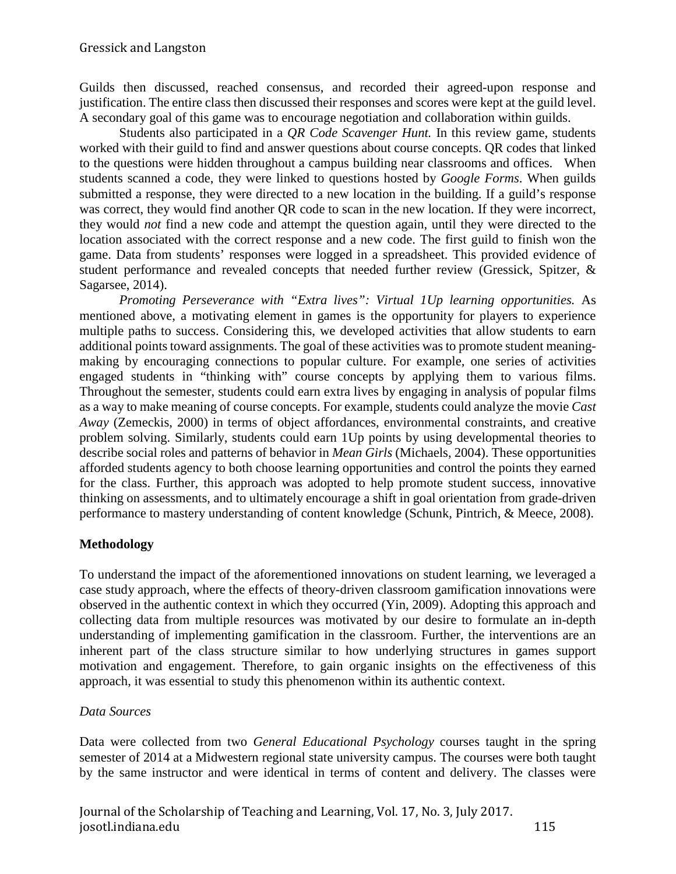Guilds then discussed, reached consensus, and recorded their agreed-upon response and justification. The entire class then discussed their responses and scores were kept at the guild level. A secondary goal of this game was to encourage negotiation and collaboration within guilds.

Students also participated in a *QR Code Scavenger Hunt.* In this review game, students worked with their guild to find and answer questions about course concepts. QR codes that linked to the questions were hidden throughout a campus building near classrooms and offices. When students scanned a code, they were linked to questions hosted by *Google Forms*. When guilds submitted a response, they were directed to a new location in the building. If a guild's response was correct, they would find another QR code to scan in the new location. If they were incorrect, they would *not* find a new code and attempt the question again, until they were directed to the location associated with the correct response and a new code. The first guild to finish won the game. Data from students' responses were logged in a spreadsheet. This provided evidence of student performance and revealed concepts that needed further review (Gressick, Spitzer, & Sagarsee, 2014).

*Promoting Perseverance with "Extra lives": Virtual 1Up learning opportunities.* As mentioned above, a motivating element in games is the opportunity for players to experience multiple paths to success. Considering this, we developed activities that allow students to earn additional points toward assignments. The goal of these activities was to promote student meaningmaking by encouraging connections to popular culture. For example, one series of activities engaged students in "thinking with" course concepts by applying them to various films. Throughout the semester, students could earn extra lives by engaging in analysis of popular films as a way to make meaning of course concepts. For example, students could analyze the movie *Cast Away* (Zemeckis, 2000) in terms of object affordances, environmental constraints, and creative problem solving. Similarly, students could earn 1Up points by using developmental theories to describe social roles and patterns of behavior in *Mean Girls* (Michaels, 2004). These opportunities afforded students agency to both choose learning opportunities and control the points they earned for the class. Further, this approach was adopted to help promote student success, innovative thinking on assessments, and to ultimately encourage a shift in goal orientation from grade-driven performance to mastery understanding of content knowledge (Schunk, Pintrich, & Meece, 2008).

# **Methodology**

To understand the impact of the aforementioned innovations on student learning, we leveraged a case study approach, where the effects of theory-driven classroom gamification innovations were observed in the authentic context in which they occurred (Yin, 2009). Adopting this approach and collecting data from multiple resources was motivated by our desire to formulate an in-depth understanding of implementing gamification in the classroom. Further, the interventions are an inherent part of the class structure similar to how underlying structures in games support motivation and engagement. Therefore, to gain organic insights on the effectiveness of this approach, it was essential to study this phenomenon within its authentic context.

# *Data Sources*

Data were collected from two *General Educational Psychology* courses taught in the spring semester of 2014 at a Midwestern regional state university campus. The courses were both taught by the same instructor and were identical in terms of content and delivery. The classes were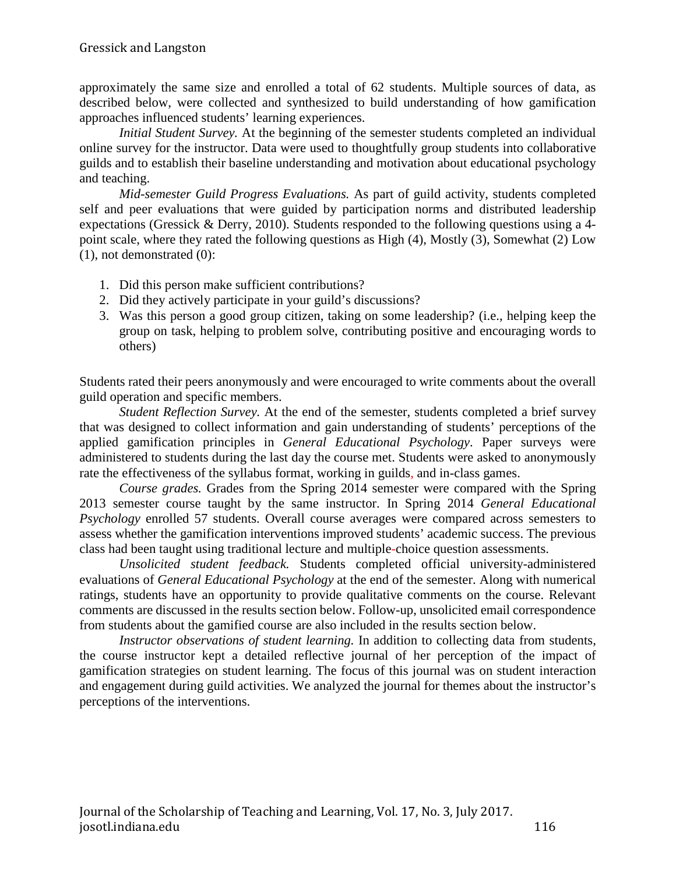approximately the same size and enrolled a total of 62 students. Multiple sources of data, as described below, were collected and synthesized to build understanding of how gamification approaches influenced students' learning experiences.

*Initial Student Survey.* At the beginning of the semester students completed an individual online survey for the instructor. Data were used to thoughtfully group students into collaborative guilds and to establish their baseline understanding and motivation about educational psychology and teaching.

*Mid-semester Guild Progress Evaluations.* As part of guild activity, students completed self and peer evaluations that were guided by participation norms and distributed leadership expectations (Gressick & Derry, 2010). Students responded to the following questions using a 4 point scale, where they rated the following questions as High (4), Mostly (3), Somewhat (2) Low (1), not demonstrated (0):

- 1. Did this person make sufficient contributions?
- 2. Did they actively participate in your guild's discussions?
- 3. Was this person a good group citizen, taking on some leadership? (i.e., helping keep the group on task, helping to problem solve, contributing positive and encouraging words to others)

Students rated their peers anonymously and were encouraged to write comments about the overall guild operation and specific members.

*Student Reflection Survey.* At the end of the semester, students completed a brief survey that was designed to collect information and gain understanding of students' perceptions of the applied gamification principles in *General Educational Psychology*. Paper surveys were administered to students during the last day the course met. Students were asked to anonymously rate the effectiveness of the syllabus format, working in guilds, and in-class games.

*Course grades.* Grades from the Spring 2014 semester were compared with the Spring 2013 semester course taught by the same instructor. In Spring 2014 *General Educational Psychology* enrolled 57 students. Overall course averages were compared across semesters to assess whether the gamification interventions improved students' academic success. The previous class had been taught using traditional lecture and multiple-choice question assessments.

*Unsolicited student feedback.* Students completed official university-administered evaluations of *General Educational Psychology* at the end of the semester. Along with numerical ratings, students have an opportunity to provide qualitative comments on the course. Relevant comments are discussed in the results section below. Follow-up, unsolicited email correspondence from students about the gamified course are also included in the results section below.

*Instructor observations of student learning.* In addition to collecting data from students, the course instructor kept a detailed reflective journal of her perception of the impact of gamification strategies on student learning. The focus of this journal was on student interaction and engagement during guild activities. We analyzed the journal for themes about the instructor's perceptions of the interventions.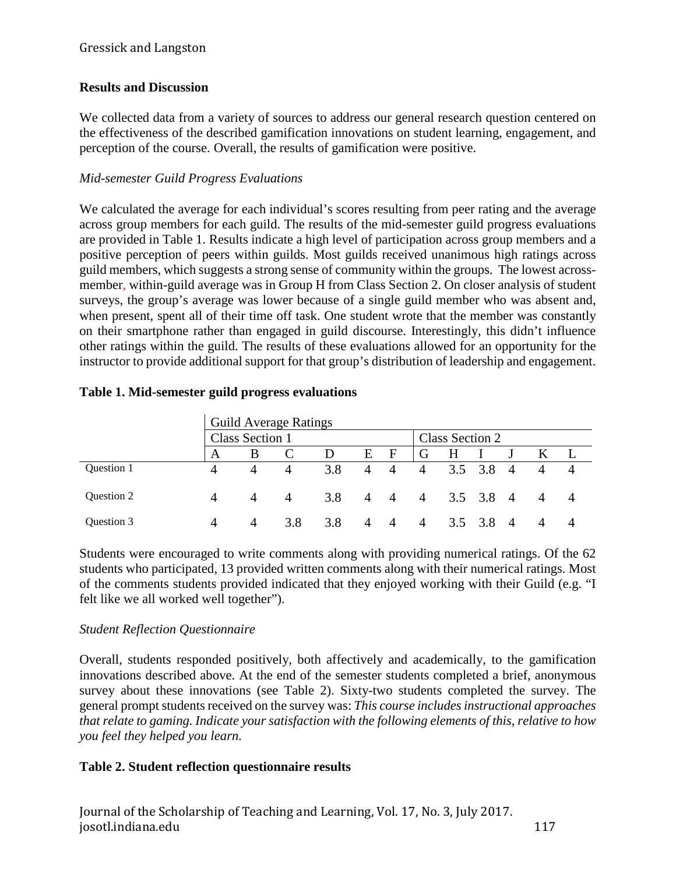### Gressick and Langston

# **Results and Discussion**

We collected data from a variety of sources to address our general research question centered on the effectiveness of the described gamification innovations on student learning, engagement, and perception of the course. Overall, the results of gamification were positive.

## *Mid-semester Guild Progress Evaluations*

We calculated the average for each individual's scores resulting from peer rating and the average across group members for each guild. The results of the mid-semester guild progress evaluations are provided in Table 1. Results indicate a high level of participation across group members and a positive perception of peers within guilds. Most guilds received unanimous high ratings across guild members, which suggests a strong sense of community within the groups. The lowest acrossmember, within-guild average was in Group H from Class Section 2. On closer analysis of student surveys, the group's average was lower because of a single guild member who was absent and, when present, spent all of their time off task. One student wrote that the member was constantly on their smartphone rather than engaged in guild discourse. Interestingly, this didn't influence other ratings within the guild. The results of these evaluations allowed for an opportunity for the instructor to provide additional support for that group's distribution of leadership and engagement.

|            |                        |   | <b>Guild Average Ratings</b> |     |                |                |                 |     |                 |                        |  |                |  |
|------------|------------------------|---|------------------------------|-----|----------------|----------------|-----------------|-----|-----------------|------------------------|--|----------------|--|
|            | <b>Class Section 1</b> |   |                              |     |                |                | Class Section 2 |     |                 |                        |  |                |  |
|            | A                      | B |                              | D   | E              | F              | G               | H   |                 |                        |  |                |  |
| Question 1 |                        | 4 | $\overline{4}$               | 3.8 | $\overline{4}$ | $\overline{A}$ | $\overline{4}$  |     | $3.5 \quad 3.8$ | 4                      |  | $\overline{4}$ |  |
| Question 2 |                        |   |                              | 3.8 | $\overline{4}$ | $\overline{4}$ | $\overline{4}$  |     | $3.5$ $3.8$ 4   |                        |  | 4              |  |
| Ouestion 3 |                        |   | 3.8                          | 3.8 | $\Delta$       | 4              | $\overline{A}$  | 3.5 | 3.8             | $\boldsymbol{\Lambda}$ |  | 4              |  |

### **Table 1. Mid-semester guild progress evaluations**

Students were encouraged to write comments along with providing numerical ratings. Of the 62 students who participated, 13 provided written comments along with their numerical ratings. Most of the comments students provided indicated that they enjoyed working with their Guild (e.g. "I felt like we all worked well together").

### *Student Reflection Questionnaire*

Overall, students responded positively, both affectively and academically, to the gamification innovations described above. At the end of the semester students completed a brief, anonymous survey about these innovations (see Table 2). Sixty-two students completed the survey. The general prompt students received on the survey was: *This course includes instructional approaches that relate to gaming. Indicate your satisfaction with the following elements of this, relative to how you feel they helped you learn.* 

# **Table 2. Student reflection questionnaire results**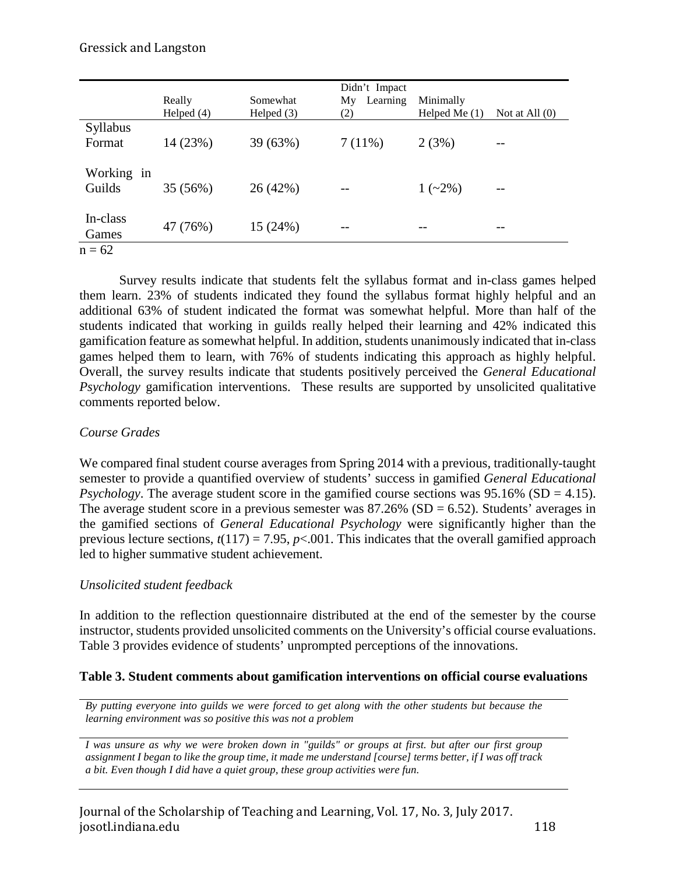#### Gressick and Langston

|            | Really       | Somewhat     | Didn't Impact<br>Learning<br>My | Minimally       |                  |  |  |
|------------|--------------|--------------|---------------------------------|-----------------|------------------|--|--|
|            | Helped $(4)$ | Helped $(3)$ | (2)                             | Helped Me $(1)$ | Not at All $(0)$ |  |  |
| Syllabus   |              |              |                                 |                 |                  |  |  |
| Format     | 14 (23%)     | 39 (63%)     | $7(11\%)$                       | 2(3%)           | $- -$            |  |  |
|            |              |              |                                 |                 |                  |  |  |
| Working in |              |              |                                 |                 |                  |  |  |
| Guilds     | 35 (56%)     | 26(42%)      | $-$                             | $1(-2\%)$       | $ -$             |  |  |
|            |              |              |                                 |                 |                  |  |  |
| In-class   |              |              |                                 |                 |                  |  |  |
| Games      | 47 (76%)     | 15 (24%)     |                                 |                 | --               |  |  |
| $\sim$     |              |              |                                 |                 |                  |  |  |

 $n = 62$ 

Survey results indicate that students felt the syllabus format and in-class games helped them learn. 23% of students indicated they found the syllabus format highly helpful and an additional 63% of student indicated the format was somewhat helpful. More than half of the students indicated that working in guilds really helped their learning and 42% indicated this gamification feature as somewhat helpful. In addition, students unanimously indicated that in-class games helped them to learn, with 76% of students indicating this approach as highly helpful. Overall, the survey results indicate that students positively perceived the *General Educational Psychology* gamification interventions. These results are supported by unsolicited qualitative comments reported below.

#### *Course Grades*

We compared final student course averages from Spring 2014 with a previous, traditionally-taught semester to provide a quantified overview of students' success in gamified *General Educational Psychology*. The average student score in the gamified course sections was 95.16% (SD = 4.15). The average student score in a previous semester was  $87.26\%$  (SD = 6.52). Students' averages in the gamified sections of *General Educational Psychology* were significantly higher than the previous lecture sections,  $t(117) = 7.95$ ,  $p<0.001$ . This indicates that the overall gamified approach led to higher summative student achievement.

#### *Unsolicited student feedback*

In addition to the reflection questionnaire distributed at the end of the semester by the course instructor, students provided unsolicited comments on the University's official course evaluations. Table 3 provides evidence of students' unprompted perceptions of the innovations.

#### **Table 3. Student comments about gamification interventions on official course evaluations**

*By putting everyone into guilds we were forced to get along with the other students but because the learning environment was so positive this was not a problem*

*I was unsure as why we were broken down in "guilds" or groups at first. but after our first group assignment I began to like the group time, it made me understand [course] terms better, if I was off track a bit. Even though I did have a quiet group, these group activities were fun.*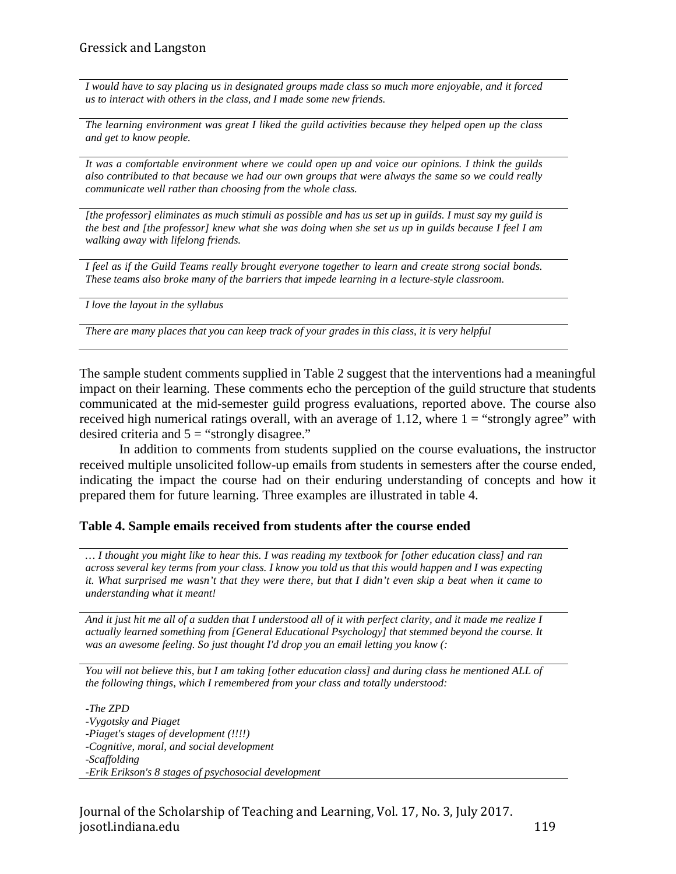*I would have to say placing us in designated groups made class so much more enjoyable, and it forced us to interact with others in the class, and I made some new friends.*

*The learning environment was great I liked the guild activities because they helped open up the class and get to know people.*

*It was a comfortable environment where we could open up and voice our opinions. I think the guilds also contributed to that because we had our own groups that were always the same so we could really communicate well rather than choosing from the whole class.*

*[the professor] eliminates as much stimuli as possible and has us set up in guilds. I must say my guild is the best and [the professor] knew what she was doing when she set us up in guilds because I feel I am walking away with lifelong friends.*

*I feel as if the Guild Teams really brought everyone together to learn and create strong social bonds. These teams also broke many of the barriers that impede learning in a lecture-style classroom.*

*I love the layout in the syllabus*

*There are many places that you can keep track of your grades in this class, it is very helpful*

The sample student comments supplied in Table 2 suggest that the interventions had a meaningful impact on their learning. These comments echo the perception of the guild structure that students communicated at the mid-semester guild progress evaluations, reported above. The course also received high numerical ratings overall, with an average of 1.12, where  $1 =$  "strongly agree" with desired criteria and  $5 =$  "strongly disagree."

In addition to comments from students supplied on the course evaluations, the instructor received multiple unsolicited follow-up emails from students in semesters after the course ended, indicating the impact the course had on their enduring understanding of concepts and how it prepared them for future learning. Three examples are illustrated in table 4.

#### **Table 4. Sample emails received from students after the course ended**

*… I thought you might like to hear this. I was reading my textbook for [other education class] and ran across several key terms from your class. I know you told us that this would happen and I was expecting it. What surprised me wasn't that they were there, but that I didn't even skip a beat when it came to understanding what it meant!*

*And it just hit me all of a sudden that I understood all of it with perfect clarity, and it made me realize I actually learned something from [General Educational Psychology] that stemmed beyond the course. It was an awesome feeling. So just thought I'd drop you an email letting you know (:*

*You will not believe this, but I am taking [other education class] and during class he mentioned ALL of the following things, which I remembered from your class and totally understood:*

*-The ZPD -Vygotsky and Piaget -Piaget's stages of development (!!!!) -Cognitive, moral, and social development -Scaffolding -Erik Erikson's 8 stages of psychosocial development*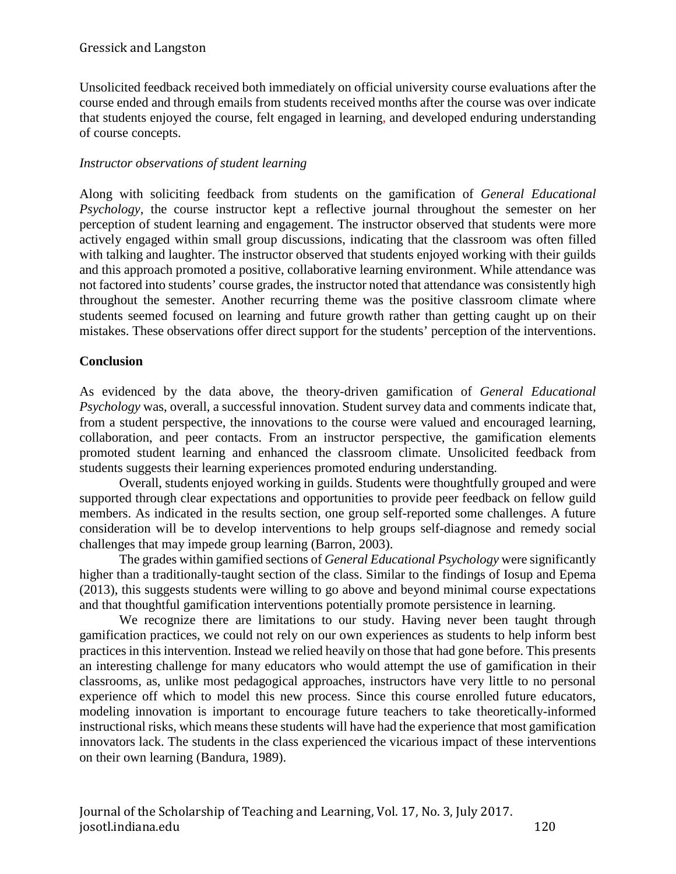Unsolicited feedback received both immediately on official university course evaluations after the course ended and through emails from students received months after the course was over indicate that students enjoyed the course, felt engaged in learning, and developed enduring understanding of course concepts.

# *Instructor observations of student learning*

Along with soliciting feedback from students on the gamification of *General Educational Psychology*, the course instructor kept a reflective journal throughout the semester on her perception of student learning and engagement. The instructor observed that students were more actively engaged within small group discussions, indicating that the classroom was often filled with talking and laughter. The instructor observed that students enjoyed working with their guilds and this approach promoted a positive, collaborative learning environment. While attendance was not factored into students' course grades, the instructor noted that attendance was consistently high throughout the semester. Another recurring theme was the positive classroom climate where students seemed focused on learning and future growth rather than getting caught up on their mistakes. These observations offer direct support for the students' perception of the interventions.

# **Conclusion**

As evidenced by the data above, the theory-driven gamification of *General Educational Psychology* was, overall, a successful innovation. Student survey data and comments indicate that, from a student perspective, the innovations to the course were valued and encouraged learning, collaboration, and peer contacts. From an instructor perspective, the gamification elements promoted student learning and enhanced the classroom climate. Unsolicited feedback from students suggests their learning experiences promoted enduring understanding.

Overall, students enjoyed working in guilds. Students were thoughtfully grouped and were supported through clear expectations and opportunities to provide peer feedback on fellow guild members. As indicated in the results section, one group self-reported some challenges. A future consideration will be to develop interventions to help groups self-diagnose and remedy social challenges that may impede group learning (Barron, 2003).

The grades within gamified sections of *General Educational Psychology* were significantly higher than a traditionally-taught section of the class. Similar to the findings of Iosup and Epema (2013), this suggests students were willing to go above and beyond minimal course expectations and that thoughtful gamification interventions potentially promote persistence in learning.

We recognize there are limitations to our study. Having never been taught through gamification practices, we could not rely on our own experiences as students to help inform best practices in this intervention. Instead we relied heavily on those that had gone before. This presents an interesting challenge for many educators who would attempt the use of gamification in their classrooms, as, unlike most pedagogical approaches, instructors have very little to no personal experience off which to model this new process. Since this course enrolled future educators, modeling innovation is important to encourage future teachers to take theoretically-informed instructional risks, which means these students will have had the experience that most gamification innovators lack. The students in the class experienced the vicarious impact of these interventions on their own learning (Bandura, 1989).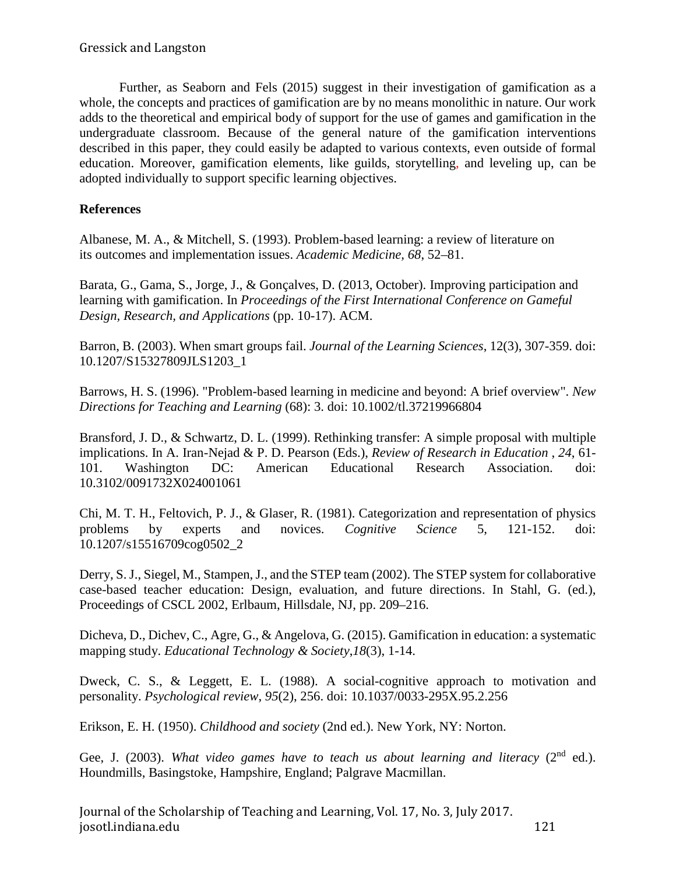Further, as Seaborn and Fels (2015) suggest in their investigation of gamification as a whole, the concepts and practices of gamification are by no means monolithic in nature. Our work adds to the theoretical and empirical body of support for the use of games and gamification in the undergraduate classroom. Because of the general nature of the gamification interventions described in this paper, they could easily be adapted to various contexts, even outside of formal education. Moreover, gamification elements, like guilds, storytelling, and leveling up, can be adopted individually to support specific learning objectives.

# **References**

Albanese, M. A., & Mitchell, S. (1993). Problem-based learning: a review of literature on its outcomes and implementation issues. *Academic Medicine, 68*, 52–81.

Barata, G., Gama, S., Jorge, J., & Gonçalves, D. (2013, October). Improving participation and learning with gamification. In *Proceedings of the First International Conference on Gameful Design, Research, and Applications* (pp. 10-17). ACM.

Barron, B. (2003). When smart groups fail. *Journal of the Learning Sciences*, 12(3), 307-359. doi: 10.1207/S15327809JLS1203\_1

Barrows, H. S. (1996). "Problem-based learning in medicine and beyond: A brief overview". *New Directions for Teaching and Learning* (68): 3. doi: 10.1002/tl.37219966804

Bransford, J. D., & Schwartz, D. L. (1999). Rethinking transfer: A simple proposal with multiple implications. In A. Iran-Nejad & P. D. Pearson (Eds.), *Review of Research in Education* , *24*, 61- 101. Washington DC: American Educational Research Association. doi: 10.3102/0091732X024001061

Chi, M. T. H., Feltovich, P. J., & Glaser, R. (1981). Categorization and representation of physics problems by experts and novices. *Cognitive Science* 5, 121-152. doi: 10.1207/s15516709cog0502\_2

Derry, S. J., Siegel, M., Stampen, J., and the STEP team (2002). The STEP system for collaborative case-based teacher education: Design, evaluation, and future directions. In Stahl, G. (ed.), Proceedings of CSCL 2002, Erlbaum, Hillsdale, NJ, pp. 209–216.

Dicheva, D., Dichev, C., Agre, G., & Angelova, G. (2015). Gamification in education: a systematic mapping study. *Educational Technology & Society*,*18*(3), 1-14.

Dweck, C. S., & Leggett, E. L. (1988). A social-cognitive approach to motivation and personality. *Psychological review*, *95*(2), 256. doi: 10.1037/0033-295X.95.2.256

Erikson, E. H. (1950). *Childhood and society* (2nd ed.). New York, NY: Norton.

Gee, J. (2003). *What video games have to teach us about learning and literacy* ( $2<sup>nd</sup>$  ed.). Houndmills, Basingstoke, Hampshire, England; Palgrave Macmillan.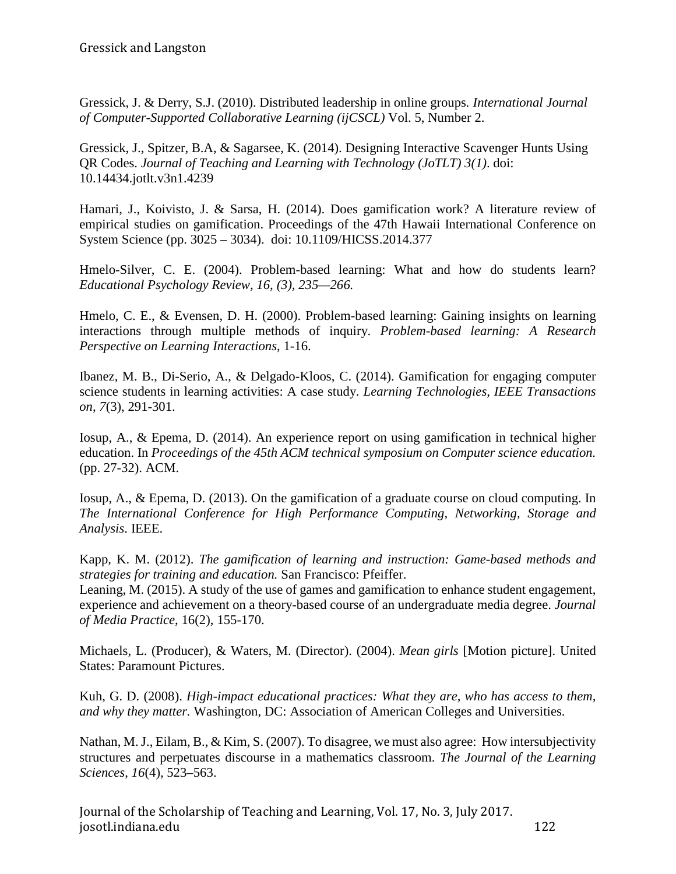Gressick, J. & Derry, S.J. (2010). Distributed leadership in online groups*. International Journal of Computer-Supported Collaborative Learning (ijCSCL)* Vol. 5, Number 2.

Gressick, J., Spitzer, B.A, & Sagarsee, K. (2014). Designing Interactive Scavenger Hunts Using QR Codes. *Journal of Teaching and Learning with Technology (JoTLT) 3(1)*. doi: 10.14434.jotlt.v3n1.4239

Hamari, J., Koivisto, J. & Sarsa, H. (2014). Does gamification work? A literature review of empirical studies on gamification. Proceedings of the 47th Hawaii International Conference on System Science (pp. 3025 – 3034). doi: 10.1109/HICSS.2014.377

Hmelo-Silver, C. E. (2004). Problem-based learning: What and how do students learn? *Educational Psychology Review, 16, (3), 235—266.*

Hmelo, C. E., & Evensen, D. H. (2000). Problem-based learning: Gaining insights on learning interactions through multiple methods of inquiry. *Problem-based learning: A Research Perspective on Learning Interactions*, 1-16.

Ibanez, M. B., Di-Serio, A., & Delgado-Kloos, C. (2014). Gamification for engaging computer science students in learning activities: A case study. *Learning Technologies, IEEE Transactions on*, *7*(3), 291-301.

Iosup, A., & Epema, D. (2014). An experience report on using gamification in technical higher education. In *Proceedings of the 45th ACM technical symposium on Computer science education.* (pp. 27-32). ACM.

Iosup, A., & Epema, D. (2013). On the gamification of a graduate course on cloud computing. In *The International Conference for High Performance Computing, Networking, Storage and Analysis*. IEEE.

Kapp, K. M. (2012). *The gamification of learning and instruction: Game-based methods and strategies for training and education.* San Francisco: Pfeiffer.

Leaning, M. (2015). A study of the use of games and gamification to enhance student engagement, experience and achievement on a theory-based course of an undergraduate media degree. *Journal of Media Practice*, 16(2), 155-170.

Michaels, L. (Producer), & Waters, M. (Director). (2004). *Mean girls* [Motion picture]. United States: Paramount Pictures.

Kuh, G. D. (2008). *High-impact educational practices: What they are, who has access to them, and why they matter.* Washington, DC: Association of American Colleges and Universities.

Nathan, M.J., Eilam, B., & Kim, S. (2007). To disagree, we must also agree: How intersubjectivity structures and perpetuates discourse in a mathematics classroom. *The Journal of the Learning Sciences*, *16*(4), 523–563.

Journal of the Scholarship of Teaching and Learning, Vol. 17, No. 3, July 2017. josotl.indiana.edu 122